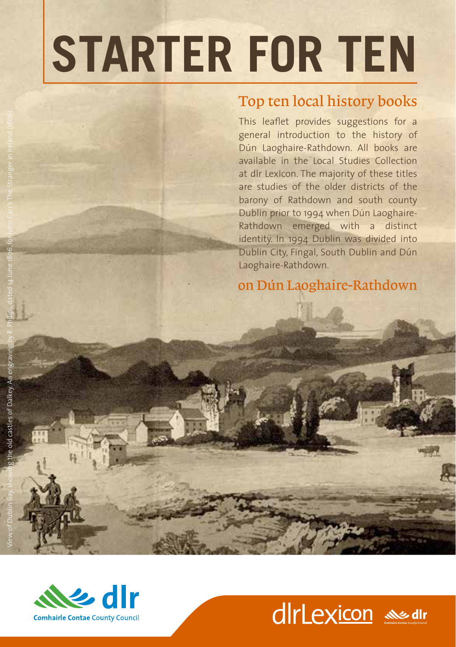## **STARTER FOR TEN**

## Top ten local history books

This leaflet provides suggestions for a general introduction to the history of Dún Laoghaire-Rathdown. All books are available in the Local Studies Collection at dlr LexIcon. The majority of these titles are studies of the older districts of the barony of Rathdown and south county Dublin prior to 1994 when Dún Laoghaire-Rathdown emerged with a distinct identity. In 1994 Dublin was divided into Dublin City, Fingal, South Dublin and Dún Laoghaire-Rathdown.

on Dún Laoghaire-Rathdown



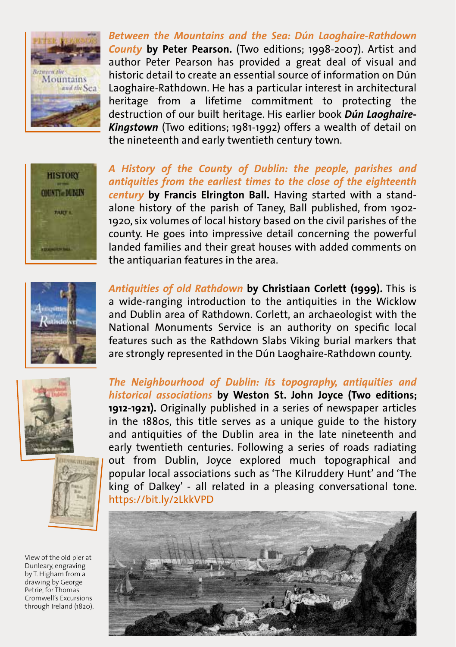

*Between the Mountains and the Sea: Dún Laoghaire-Rathdown County* **by Peter Pearson.** (Two editions; 1998-2007). Artist and author Peter Pearson has provided a great deal of visual and historic detail to create an essential source of information on Dún Laoghaire-Rathdown. He has a particular interest in architectural heritage from a lifetime commitment to protecting the destruction of our built heritage. His earlier book *Dún Laoghaire-Kingstown* (Two editions; 1981-1992) offers a wealth of detail on the nineteenth and early twentieth century town.



*A History of the County of Dublin: the people, parishes and antiquities from the earliest times to the close of the eighteenth century* **by Francis Elrington Ball.** Having started with a standalone history of the parish of Taney, Ball published, from 1902- 1920, six volumes of local history based on the civil parishes of the county. He goes into impressive detail concerning the powerful landed families and their great houses with added comments on the antiquarian features in the area.



*Antiquities of old Rathdown* **by Christiaan Corlett (1999).** This is a wide-ranging introduction to the antiquities in the Wicklow and Dublin area of Rathdown. Corlett, an archaeologist with the National Monuments Service is an authority on specific local features such as the Rathdown Slabs Viking burial markers that are strongly represented in the Dún Laoghaire-Rathdown county.





View of the old pier at Dunleary, engraving by T. Higham from a drawing by George Petrie, for Thomas Cromwell's Excursions through Ireland (1820). *The Neighbourhood of Dublin: its topography, antiquities and historical associations* **by Weston St. John Joyce (Two editions; 1912-1921).** Originally published in a series of newspaper articles in the 1880s, this title serves as a unique guide to the history and antiquities of the Dublin area in the late nineteenth and early twentieth centuries. Following a series of roads radiating out from Dublin, Joyce explored much topographical and popular local associations such as 'The Kilruddery Hunt' and 'The king of Dalkey' - all related in a pleasing conversational tone. https://bit.ly/2LkkVPD

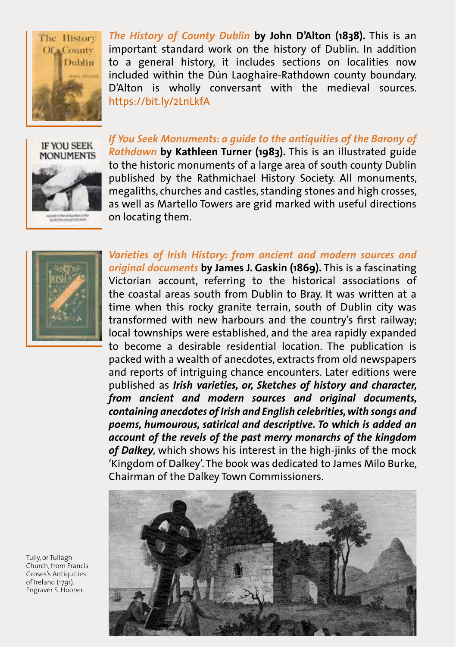

*The History of County Dublin* **by John D'Alton (1838).** This is an important standard work on the history of Dublin. In addition to a general history, it includes sections on localities now included within the Dún Laoghaire-Rathdown county boundary. D'Alton is wholly conversant with the medieval sources. https://bit.ly/2LnLkfA



*If You Seek Monuments: a guide to the antiquities of the Barony of Rathdown* **by Kathleen Turner (1983).** This is an illustrated guide to the historic monuments of a large area of south county Dublin published by the Rathmichael History Society. All monuments, megaliths, churches and castles, standing stones and high crosses, as well as Martello Towers are grid marked with useful directions on locating them.



*Varieties of Irish History: from ancient and modern sources and original documents* **by James J. Gaskin (1869).** This is a fascinating Victorian account, referring to the historical associations of the coastal areas south from Dublin to Bray. It was written at a time when this rocky granite terrain, south of Dublin city was transformed with new harbours and the country's first railway; local townships were established, and the area rapidly expanded to become a desirable residential location. The publication is packed with a wealth of anecdotes, extracts from old newspapers and reports of intriguing chance encounters. Later editions were published as *Irish varieties, or, Sketches of history and character, from ancient and modern sources and original documents, containing anecdotes of Irish and English celebrities, with songs and poems, humourous, satirical and descriptive. To which is added an account of the revels of the past merry monarchs of the kingdom of Dalkey,* which shows his interest in the high-jinks of the mock 'Kingdom of Dalkey'. The book was dedicated to James Milo Burke, Chairman of the Dalkey Town Commissioners.



Tully, or Tullagh Church, from Francis Groses's Antiquities of Ireland (1791). Engraver S. Hooper.